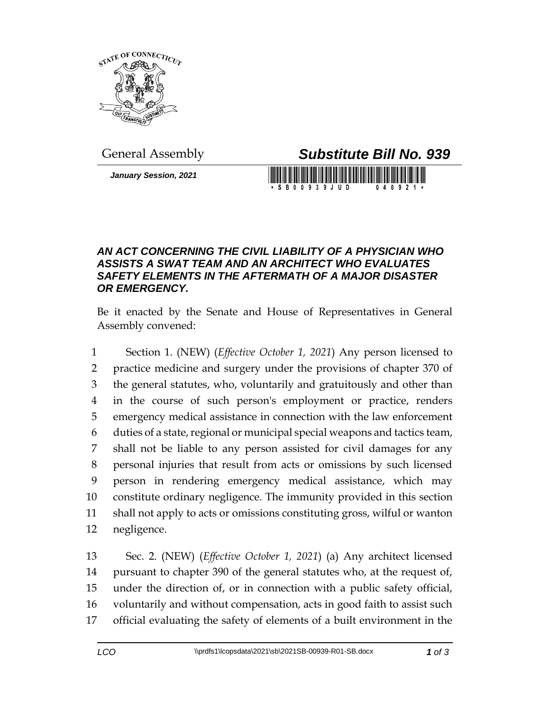

*January Session, 2021*

General Assembly *Substitute Bill No. 939*

S B 0 0 9 3 9 J U D

## *AN ACT CONCERNING THE CIVIL LIABILITY OF A PHYSICIAN WHO ASSISTS A SWAT TEAM AND AN ARCHITECT WHO EVALUATES SAFETY ELEMENTS IN THE AFTERMATH OF A MAJOR DISASTER OR EMERGENCY.*

Be it enacted by the Senate and House of Representatives in General Assembly convened:

 Section 1. (NEW) (*Effective October 1, 2021*) Any person licensed to practice medicine and surgery under the provisions of chapter 370 of the general statutes, who, voluntarily and gratuitously and other than in the course of such person's employment or practice, renders emergency medical assistance in connection with the law enforcement duties of a state, regional or municipal special weapons and tactics team, shall not be liable to any person assisted for civil damages for any personal injuries that result from acts or omissions by such licensed person in rendering emergency medical assistance, which may constitute ordinary negligence. The immunity provided in this section shall not apply to acts or omissions constituting gross, wilful or wanton negligence.

 Sec. 2. (NEW) (*Effective October 1, 2021*) (a) Any architect licensed pursuant to chapter 390 of the general statutes who, at the request of, under the direction of, or in connection with a public safety official, voluntarily and without compensation, acts in good faith to assist such official evaluating the safety of elements of a built environment in the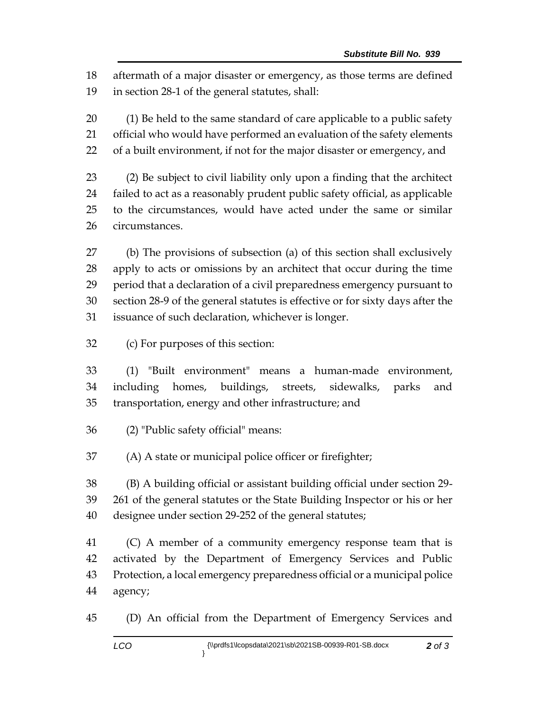aftermath of a major disaster or emergency, as those terms are defined in section 28-1 of the general statutes, shall:

 (1) Be held to the same standard of care applicable to a public safety official who would have performed an evaluation of the safety elements of a built environment, if not for the major disaster or emergency, and

 (2) Be subject to civil liability only upon a finding that the architect failed to act as a reasonably prudent public safety official, as applicable to the circumstances, would have acted under the same or similar circumstances.

 (b) The provisions of subsection (a) of this section shall exclusively apply to acts or omissions by an architect that occur during the time period that a declaration of a civil preparedness emergency pursuant to section 28-9 of the general statutes is effective or for sixty days after the issuance of such declaration, whichever is longer.

(c) For purposes of this section:

 (1) "Built environment" means a human-made environment, including homes, buildings, streets, sidewalks, parks and transportation, energy and other infrastructure; and

- (2) "Public safety official" means:
- (A) A state or municipal police officer or firefighter;

 (B) A building official or assistant building official under section 29- 261 of the general statutes or the State Building Inspector or his or her designee under section 29-252 of the general statutes;

 (C) A member of a community emergency response team that is activated by the Department of Emergency Services and Public Protection, a local emergency preparedness official or a municipal police agency;

(D) An official from the Department of Emergency Services and